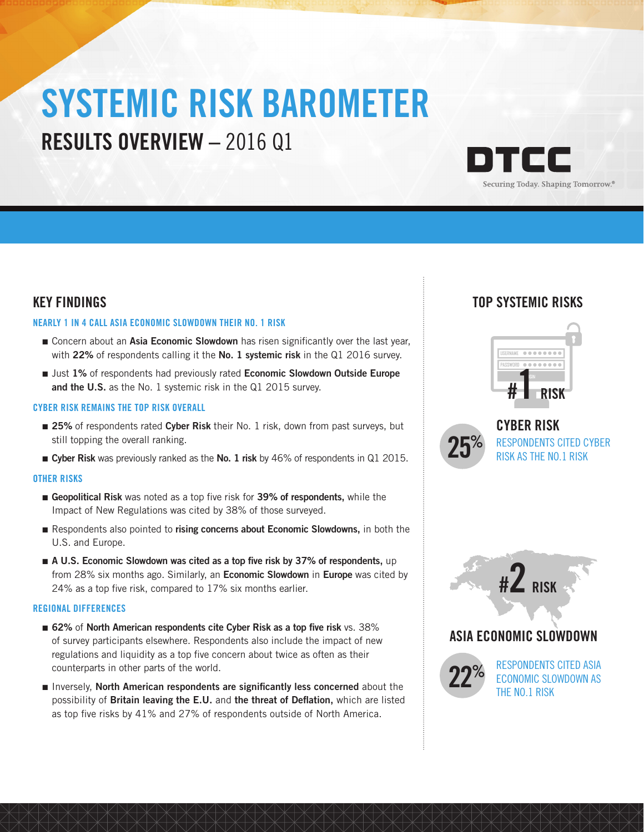# SYSTEMIC RISK BAROMETER RESULTS OVERVIEW – 2016 Q1



### KEY FINDINGS

### NEARLY 1 IN 4 CALL ASIA ECONOMIC SLOWDOWN THEIR NO. 1 RISK

- Concern about an Asia Economic Slowdown has risen significantly over the last year, with 22% of respondents calling it the No. 1 systemic risk in the Q1 2016 survey.
- Just 1% of respondents had previously rated Economic Slowdown Outside Europe and the U.S. as the No. 1 systemic risk in the Q1 2015 survey.

### CYBER RISK REMAINS THE TOP RISK OVERALL

- 25% of respondents rated Cyber Risk their No. 1 risk, down from past surveys, but still topping the overall ranking.
- Cyber Risk was previously ranked as the No. 1 risk by 46% of respondents in Q1 2015.

### OTHER RISKS

- Geopolitical Risk was noted as a top five risk for 39% of respondents, while the Impact of New Regulations was cited by 38% of those surveyed.
- Respondents also pointed to rising concerns about Economic Slowdowns, in both the U.S. and Europe.
- A U.S. Economic Slowdown was cited as a top five risk by 37% of respondents, up from 28% six months ago. Similarly, an **Economic Slowdown** in **Europe** was cited by 24% as a top five risk, compared to 17% six months earlier.

### REGIONAL DIFFERENCES

- 62% of North American respondents cite Cyber Risk as a top five risk vs. 38% of survey participants elsewhere. Respondents also include the impact of new regulations and liquidity as a top five concern about twice as often as their counterparts in other parts of the world.
- Inversely, North American respondents are significantly less concerned about the possibility of Britain leaving the E.U. and the threat of Deflation, which are listed as top five risks by 41% and 27% of respondents outside of North America.

## TOP SYSTEMIC RISKS





CYBER RISK RESPONDENTS CITED CYBER<br>RISK AS THE NO.1 RISK



### ASIA ECONOMIC SLOWDOWN



RESPONDENTS CITED ASIA ECONOMIC SLOWDOWN AS THE NO.1 RISK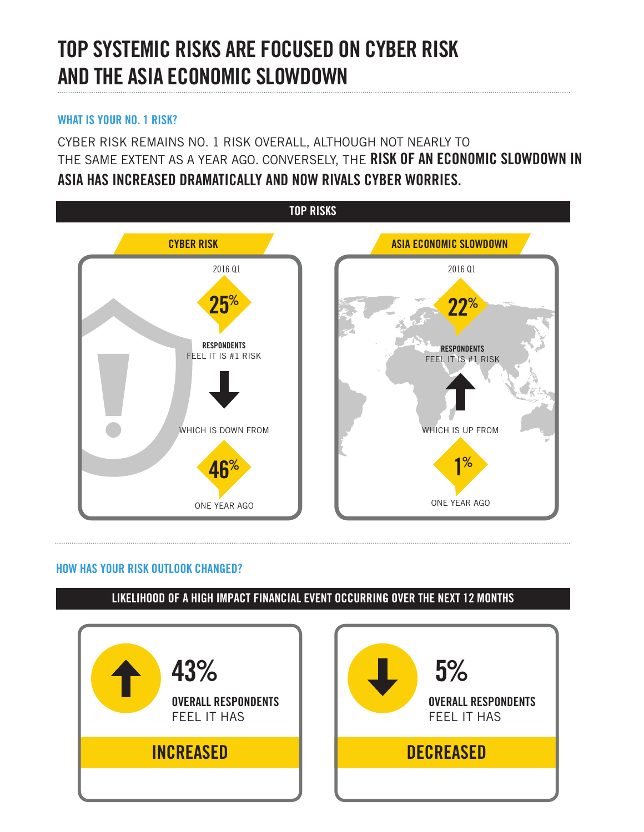# TOP SYSTEMIC RISKS ARE FOCUSED ON CYBER RISK AND THE ASIA ECONOMIC SLOWDOWN

### WHAT IS YOUR NO. 1 RISK?

CYBER RISK REMAINS NO. 1 RISK OVERALL, ALTHOUGH NOT NEARLY TO THE SAME EXTENT AS A YEAR AGO. CONVERSELY, THE RISK OF AN ECONOMIC SLOWDOWN IN ASIA HAS INCREASED DRAMATICALLY AND NOW RIVALS CYBER WORRIES.



## HOW HAS YOUR RISK OUTLOOK CHANGED?

LIKELIHOOD OF A HIGH IMPACT FINANCIAL EVENT OCCURRING OVER THE NEXT 12 MONTHS

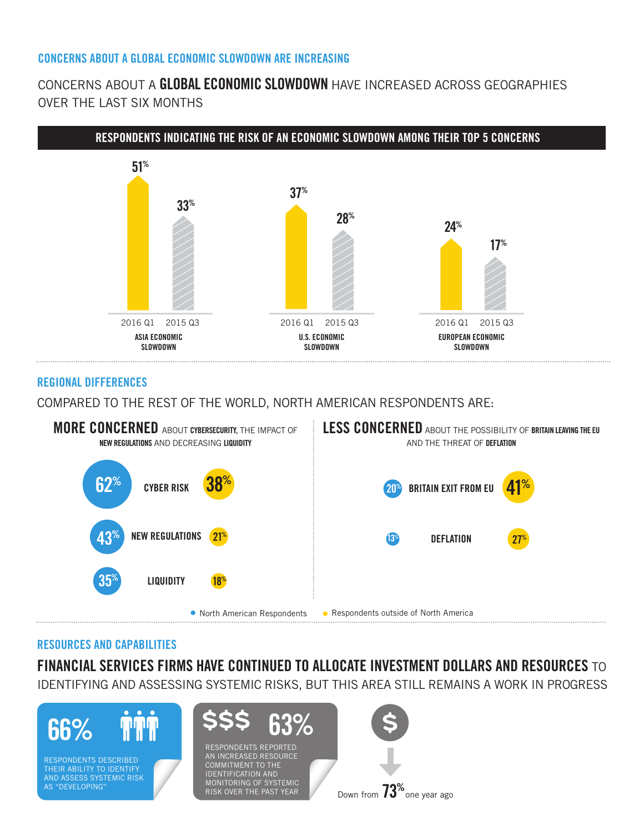### CONCERNS ABOUT A GLOBAL ECONOMIC SLOWDOWN ARE INCREASING

# CONCERNS ABOUT A GLOBAL ECONOMIC SLOWDOWN HAVE INCREASED ACROSS GEOGRAPHIES OVER THE LAST SIX MONTHS



### REGIONAL DIFFERENCES

COMPARED TO THE REST OF THE WORLD, NORTH AMERICAN RESPONDENTS ARE:



### RESOURCES AND CAPABILITIES

FINANCIAL SERVICES FIRMS HAVE CONTINUED TO ALLOCATE INVESTMENT DOLLARS AND RESOURCES TO IDENTIFYING AND ASSESSING SYSTEMIC RISKS, BUT THIS AREA STILL REMAINS A WORK IN PROGRESS



AND ASSESS SYSTEMIC RISK AS "DEVELOPING"



RESPONDENTS REPORTED AN INCREASED RESOURCE COMMITMENT TO THE IDENTIFICATION AND MONITORING OF SYSTEMIC RISK OVER THE PAST YEAR



Down from  $73^{\circ}$ one year ago